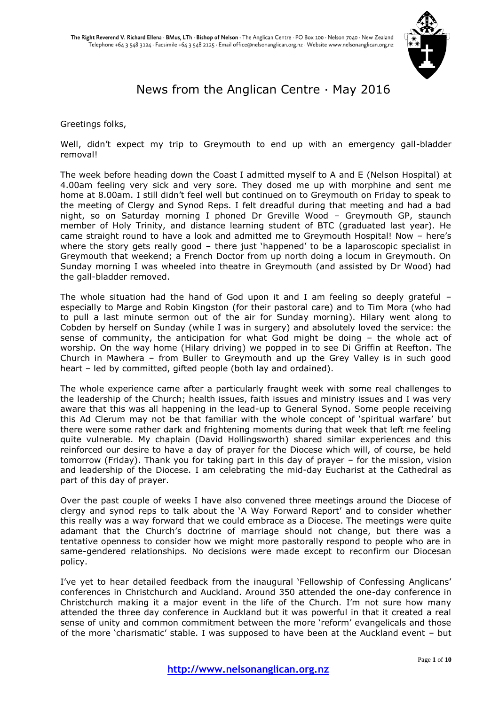

# News from the Anglican Centre · May 2016

Greetings folks,

Well, didn't expect my trip to Greymouth to end up with an emergency gall-bladder removal!

The week before heading down the Coast I admitted myself to A and E (Nelson Hospital) at 4.00am feeling very sick and very sore. They dosed me up with morphine and sent me home at 8.00am. I still didn't feel well but continued on to Greymouth on Friday to speak to the meeting of Clergy and Synod Reps. I felt dreadful during that meeting and had a bad night, so on Saturday morning I phoned Dr Greville Wood – Greymouth GP, staunch member of Holy Trinity, and distance learning student of BTC (graduated last year). He came straight round to have a look and admitted me to Greymouth Hospital! Now – here's where the story gets really good – there just 'happened' to be a laparoscopic specialist in Greymouth that weekend; a French Doctor from up north doing a locum in Greymouth. On Sunday morning I was wheeled into theatre in Greymouth (and assisted by Dr Wood) had the gall-bladder removed.

The whole situation had the hand of God upon it and I am feeling so deeply grateful – especially to Marge and Robin Kingston (for their pastoral care) and to Tim Mora (who had to pull a last minute sermon out of the air for Sunday morning). Hilary went along to Cobden by herself on Sunday (while I was in surgery) and absolutely loved the service: the sense of community, the anticipation for what God might be doing – the whole act of worship. On the way home (Hilary driving) we popped in to see Di Griffin at Reefton. The Church in Mawhera – from Buller to Greymouth and up the Grey Valley is in such good heart – led by committed, gifted people (both lay and ordained).

The whole experience came after a particularly fraught week with some real challenges to the leadership of the Church; health issues, faith issues and ministry issues and I was very aware that this was all happening in the lead-up to General Synod. Some people receiving this Ad Clerum may not be that familiar with the whole concept of 'spiritual warfare' but there were some rather dark and frightening moments during that week that left me feeling quite vulnerable. My chaplain (David Hollingsworth) shared similar experiences and this reinforced our desire to have a day of prayer for the Diocese which will, of course, be held tomorrow (Friday). Thank you for taking part in this day of prayer – for the mission, vision and leadership of the Diocese. I am celebrating the mid-day Eucharist at the Cathedral as part of this day of prayer.

Over the past couple of weeks I have also convened three meetings around the Diocese of clergy and synod reps to talk about the 'A Way Forward Report' and to consider whether this really was a way forward that we could embrace as a Diocese. The meetings were quite adamant that the Church's doctrine of marriage should not change, but there was a tentative openness to consider how we might more pastorally respond to people who are in same-gendered relationships. No decisions were made except to reconfirm our Diocesan policy.

I've yet to hear detailed feedback from the inaugural 'Fellowship of Confessing Anglicans' conferences in Christchurch and Auckland. Around 350 attended the one-day conference in Christchurch making it a major event in the life of the Church. I'm not sure how many attended the three day conference in Auckland but it was powerful in that it created a real sense of unity and common commitment between the more 'reform' evangelicals and those of the more 'charismatic' stable. I was supposed to have been at the Auckland event – but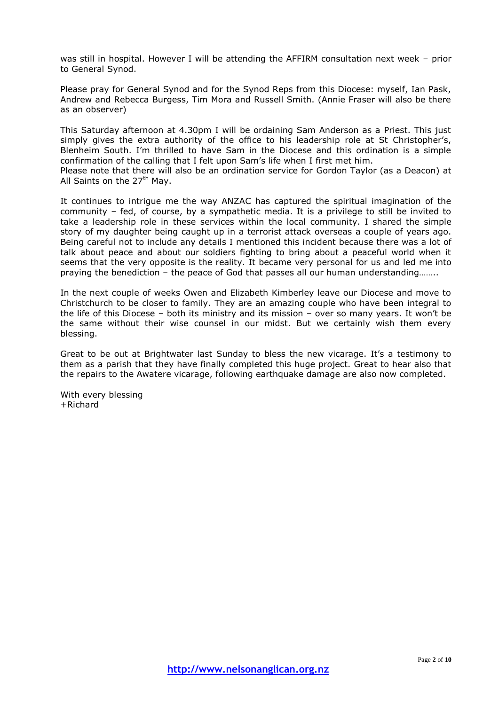was still in hospital. However I will be attending the AFFIRM consultation next week – prior to General Synod.

Please pray for General Synod and for the Synod Reps from this Diocese: myself, Ian Pask, Andrew and Rebecca Burgess, Tim Mora and Russell Smith. (Annie Fraser will also be there as an observer)

This Saturday afternoon at 4.30pm I will be ordaining Sam Anderson as a Priest. This just simply gives the extra authority of the office to his leadership role at St Christopher's, Blenheim South. I'm thrilled to have Sam in the Diocese and this ordination is a simple confirmation of the calling that I felt upon Sam's life when I first met him.

Please note that there will also be an ordination service for Gordon Taylor (as a Deacon) at All Saints on the 27<sup>th</sup> Mav.

It continues to intrigue me the way ANZAC has captured the spiritual imagination of the community – fed, of course, by a sympathetic media. It is a privilege to still be invited to take a leadership role in these services within the local community. I shared the simple story of my daughter being caught up in a terrorist attack overseas a couple of years ago. Being careful not to include any details I mentioned this incident because there was a lot of talk about peace and about our soldiers fighting to bring about a peaceful world when it seems that the very opposite is the reality. It became very personal for us and led me into praying the benediction – the peace of God that passes all our human understanding……..

In the next couple of weeks Owen and Elizabeth Kimberley leave our Diocese and move to Christchurch to be closer to family. They are an amazing couple who have been integral to the life of this Diocese – both its ministry and its mission – over so many years. It won't be the same without their wise counsel in our midst. But we certainly wish them every blessing.

Great to be out at Brightwater last Sunday to bless the new vicarage. It's a testimony to them as a parish that they have finally completed this huge project. Great to hear also that the repairs to the Awatere vicarage, following earthquake damage are also now completed.

With every blessing +Richard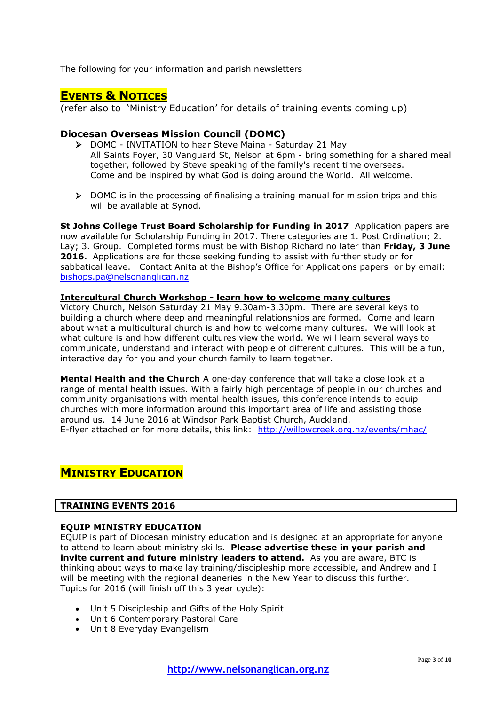The following for your information and parish newsletters

## **EVENTS & NOTICES**

(refer also to 'Ministry Education' for details of training events coming up)

### **Diocesan Overseas Mission Council (DOMC)**

- DOMC INVITATION to hear Steve Maina Saturday 21 May All Saints Foyer, 30 Vanguard St, Nelson at 6pm - bring something for a shared meal together, followed by Steve speaking of the family's recent time overseas. Come and be inspired by what God is doing around the World. All welcome.
- $\triangleright$  DOMC is in the processing of finalising a training manual for mission trips and this will be available at Synod.

**St Johns College Trust Board Scholarship for Funding in 2017** Application papers are now available for Scholarship Funding in 2017. There categories are 1. Post Ordination; 2. Lay; 3. Group. Completed forms must be with Bishop Richard no later than **Friday, 3 June 2016.** Applications are for those seeking funding to assist with further study or for sabbatical leave. Contact Anita at the Bishop's Office for Applications papers or by email: [bishops.pa@nelsonanglican.nz](mailto:bishops.pa@nelsonanglican.nz)

### **Intercultural Church Workshop - learn how to welcome many cultures**

Victory Church, Nelson Saturday 21 May 9.30am-3.30pm. There are several keys to building a church where deep and meaningful relationships are formed. Come and learn about what a multicultural church is and how to welcome many cultures. We will look at what culture is and how different cultures view the world. We will learn several ways to communicate, understand and interact with people of different cultures. This will be a fun, interactive day for you and your church family to learn together.

**Mental Health and the Church** A one-day conference that will take a close look at a range of mental health issues. With a fairly high percentage of people in our churches and community organisations with mental health issues, this conference intends to equip churches with more information around this important area of life and assisting those around us. 14 June 2016 at Windsor Park Baptist Church, Auckland. E-flyer attached or for more details, this link: <http://willowcreek.org.nz/events/mhac/>

### **MINISTRY EDUCATION**

### **TRAINING EVENTS 2016**

### **EQUIP MINISTRY EDUCATION**

EQUIP is part of Diocesan ministry education and is designed at an appropriate for anyone to attend to learn about ministry skills. **Please advertise these in your parish and invite current and future ministry leaders to attend.** As you are aware, BTC is thinking about ways to make lay training/discipleship more accessible, and Andrew and I will be meeting with the regional deaneries in the New Year to discuss this further. Topics for 2016 (will finish off this 3 year cycle):

- Unit 5 Discipleship and Gifts of the Holy Spirit
- Unit 6 Contemporary Pastoral Care
- Unit 8 Everyday Evangelism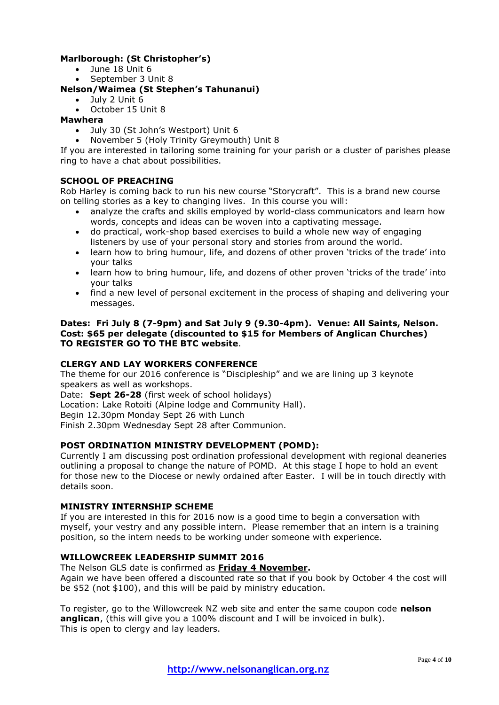### **Marlborough: (St Christopher's)**

- $\bullet$  June 18 Unit 6
- September 3 Unit 8

### **Nelson/Waimea (St Stephen's Tahunanui)**

- July 2 Unit 6
- October 15 Unit 8

### **Mawhera**

- July 30 (St John's Westport) Unit 6
- November 5 (Holy Trinity Greymouth) Unit 8

If you are interested in tailoring some training for your parish or a cluster of parishes please ring to have a chat about possibilities.

### **SCHOOL OF PREACHING**

Rob Harley is coming back to run his new course "Storycraft". This is a brand new course on telling stories as a key to changing lives. In this course you will:

- analyze the crafts and skills employed by world-class communicators and learn how words, concepts and ideas can be woven into a captivating message.
- do practical, work-shop based exercises to build a whole new way of engaging listeners by use of your personal story and stories from around the world.
- learn how to bring humour, life, and dozens of other proven 'tricks of the trade' into your talks
- learn how to bring humour, life, and dozens of other proven 'tricks of the trade' into your talks
- find a new level of personal excitement in the process of shaping and delivering your messages.

### **Dates: Fri July 8 (7-9pm) and Sat July 9 (9.30-4pm). Venue: All Saints, Nelson. Cost: \$65 per delegate (discounted to \$15 for Members of Anglican Churches) TO REGISTER GO TO THE BTC website**.

### **CLERGY AND LAY WORKERS CONFERENCE**

The theme for our 2016 conference is "Discipleship" and we are lining up 3 keynote speakers as well as workshops.

Date: **Sept 26-28** (first week of school holidays)

Location: Lake Rotoiti (Alpine lodge and Community Hall).

Begin 12.30pm Monday Sept 26 with Lunch

Finish 2.30pm Wednesday Sept 28 after Communion.

### **POST ORDINATION MINISTRY DEVELOPMENT (POMD):**

Currently I am discussing post ordination professional development with regional deaneries outlining a proposal to change the nature of POMD. At this stage I hope to hold an event for those new to the Diocese or newly ordained after Easter. I will be in touch directly with details soon.

### **MINISTRY INTERNSHIP SCHEME**

If you are interested in this for 2016 now is a good time to begin a conversation with myself, your vestry and any possible intern. Please remember that an intern is a training position, so the intern needs to be working under someone with experience.

### **WILLOWCREEK LEADERSHIP SUMMIT 2016**

The Nelson GLS date is confirmed as **Friday 4 November.**

Again we have been offered a discounted rate so that if you book by October 4 the cost will be \$52 (not \$100), and this will be paid by ministry education.

To register, go to the Willowcreek NZ web site and enter the same coupon code **nelson anglican**, (this will give you a 100% discount and I will be invoiced in bulk). This is open to clergy and lay leaders.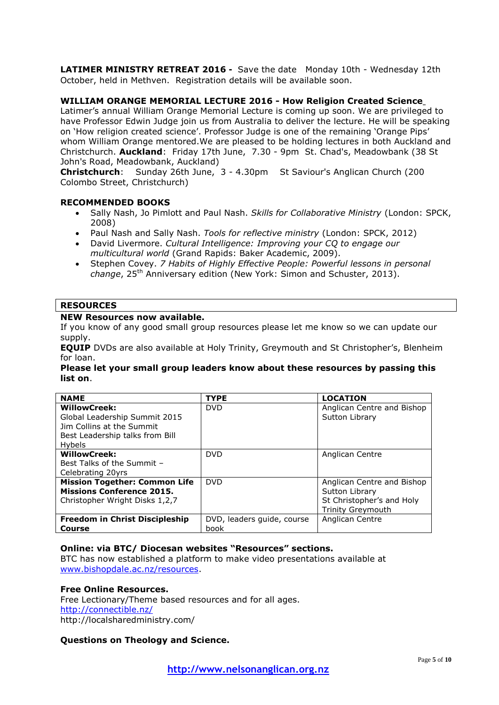**LATIMER MINISTRY RETREAT 2016 -** Save the date Monday 10th - Wednesday 12th October, held in Methven. Registration details will be available soon.

### **WILLIAM ORANGE MEMORIAL LECTURE 2016 - How Religion Created Science**

Latimer's annual William Orange Memorial Lecture is coming up soon. We are privileged to have Professor Edwin Judge join us from Australia to deliver the lecture. He will be speaking on 'How religion created science'. Professor Judge is one of the remaining 'Orange Pips' whom William Orange mentored.We are pleased to be holding lectures in both Auckland and Christchurch. **Auckland**: Friday 17th June, 7.30 - 9pm St. Chad's, Meadowbank (38 St John's Road, Meadowbank, Auckland)

**Christchurch**: Sunday 26th June, 3 - 4.30pm St Saviour's Anglican Church (200 Colombo Street, Christchurch)

### **RECOMMENDED BOOKS**

- Sally Nash, Jo Pimlott and Paul Nash. *Skills for Collaborative Ministry* (London: SPCK, 2008)
- Paul Nash and Sally Nash. *Tools for reflective ministry* (London: SPCK, 2012)
- David Livermore. *Cultural Intelligence: Improving your CQ to engage our multicultural world* (Grand Rapids: Baker Academic, 2009).
- Stephen Covey. *7 Habits of Highly Effective People: Powerful lessons in personal change*, 25th Anniversary edition (New York: Simon and Schuster, 2013).

### **RESOURCES**

### **NEW Resources now available.**

If you know of any good small group resources please let me know so we can update our supply.

**EQUIP** DVDs are also available at Holy Trinity, Greymouth and St Christopher's, Blenheim for loan.

#### **Please let your small group leaders know about these resources by passing this list on**.

| <b>NAME</b>                           | <b>TYPE</b>                | <b>LOCATION</b>            |
|---------------------------------------|----------------------------|----------------------------|
| <b>WillowCreek:</b>                   | <b>DVD</b>                 | Anglican Centre and Bishop |
| Global Leadership Summit 2015         |                            | Sutton Library             |
| Jim Collins at the Summit             |                            |                            |
| Best Leadership talks from Bill       |                            |                            |
| <b>Hybels</b>                         |                            |                            |
| <b>WillowCreek:</b>                   | <b>DVD</b>                 | Anglican Centre            |
| Best Talks of the Summit -            |                            |                            |
| Celebrating 20yrs                     |                            |                            |
| <b>Mission Together: Common Life</b>  | <b>DVD</b>                 | Anglican Centre and Bishop |
| <b>Missions Conference 2015.</b>      |                            | Sutton Library             |
| Christopher Wright Disks 1,2,7        |                            | St Christopher's and Holy  |
|                                       |                            | <b>Trinity Greymouth</b>   |
| <b>Freedom in Christ Discipleship</b> | DVD, leaders quide, course | Anglican Centre            |
| Course                                | book                       |                            |

### **Online: via BTC/ Diocesan websites "Resources" sections.**

BTC has now established a platform to make video presentations available at [www.bishopdale.ac.nz/resources.](http://www.bishopdale.ac.nz/resources)

#### **Free Online Resources.**

Free Lectionary/Theme based resources and for all ages. <http://connectible.nz/> http://localsharedministry.com/

### **Questions on Theology and Science.**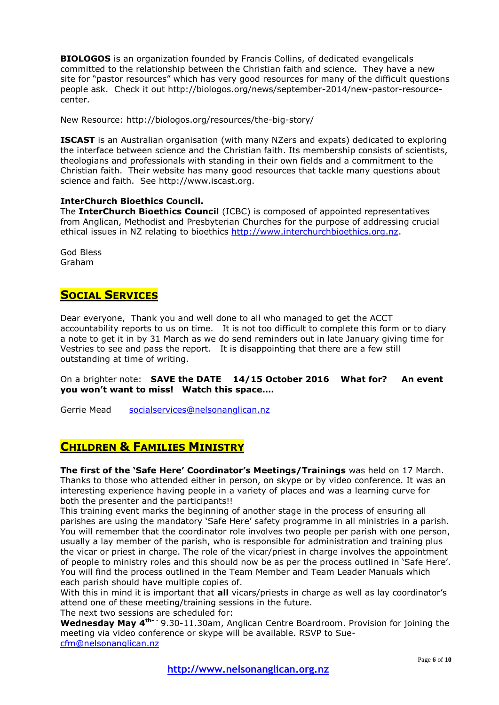**BIOLOGOS** is an organization founded by Francis Collins, of dedicated evangelicals committed to the relationship between the Christian faith and science. They have a new site for "pastor resources" which has very good resources for many of the difficult questions people ask. Check it out http://biologos.org/news/september-2014/new-pastor-resourcecenter.

New Resource: http://biologos.org/resources/the-big-story/

**ISCAST** is an Australian organisation (with many NZers and expats) dedicated to exploring the interface between science and the Christian faith. Its membership consists of scientists, theologians and professionals with standing in their own fields and a commitment to the Christian faith. Their website has many good resources that tackle many questions about science and faith. See http://www.iscast.org.

### **InterChurch Bioethics Council.**

The **InterChurch Bioethics Council** (ICBC) is composed of appointed representatives from Anglican, Methodist and Presbyterian Churches for the purpose of addressing crucial ethical issues in NZ relating to bioethics [http://www.interchurchbioethics.org.nz.](http://www.interchurchbioethics.org.nz/)

God Bless Graham

### **SOCIAL SERVICES**

Dear everyone, Thank you and well done to all who managed to get the ACCT accountability reports to us on time. It is not too difficult to complete this form or to diary a note to get it in by 31 March as we do send reminders out in late January giving time for Vestries to see and pass the report. It is disappointing that there are a few still outstanding at time of writing.

On a brighter note: **SAVE the DATE 14/15 October 2016 What for? An event you won't want to miss! Watch this space….**

Gerrie Mead [socialservices@nelsonanglican.nz](mailto:socialservices@nelsonanglican.nz)

### **CHILDREN & FAMILIES MINISTRY**

**The first of the 'Safe Here' Coordinator's Meetings/Trainings** was held on 17 March. Thanks to those who attended either in person, on skype or by video conference. It was an interesting experience having people in a variety of places and was a learning curve for both the presenter and the participants!!

This training event marks the beginning of another stage in the process of ensuring all parishes are using the mandatory 'Safe Here' safety programme in all ministries in a parish. You will remember that the coordinator role involves two people per parish with one person, usually a lay member of the parish, who is responsible for administration and training plus the vicar or priest in charge. The role of the vicar/priest in charge involves the appointment of people to ministry roles and this should now be as per the process outlined in 'Safe Here'. You will find the process outlined in the Team Member and Team Leader Manuals which each parish should have multiple copies of.

With this in mind it is important that **all** vicars/priests in charge as well as lay coordinator's attend one of these meeting/training sessions in the future.

The next two sessions are scheduled for:

**Wednesday May 4th-** - 9.30-11.30am, Anglican Centre Boardroom. Provision for joining the meeting via video conference or skype will be available. RSVP to Sue[cfm@nelsonanglican.nz](mailto:cfm@nelsonanglican.nz)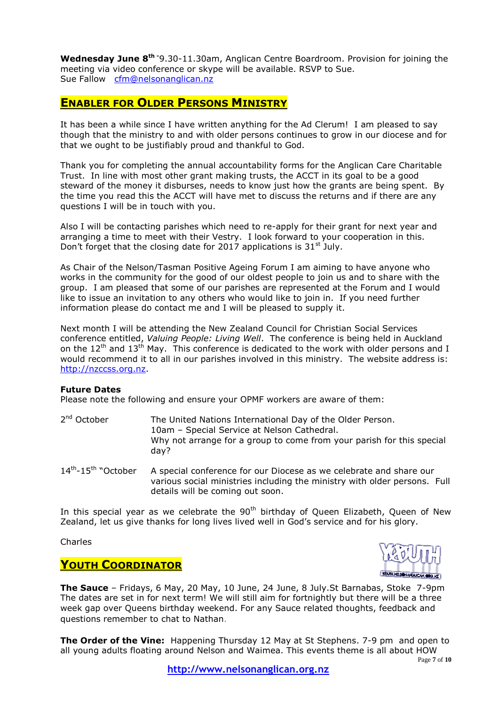**Wednesday June 8th -**9.30-11.30am, Anglican Centre Boardroom. Provision for joining the meeting via video conference or skype will be available. RSVP to Sue. Sue Fallow [cfm@nelsonanglican.nz](mailto:cfm@nelsonanglican.nz)

## **ENABLER FOR OLDER PERSONS MINISTRY**

It has been a while since I have written anything for the Ad Clerum! I am pleased to say though that the ministry to and with older persons continues to grow in our diocese and for that we ought to be justifiably proud and thankful to God.

Thank you for completing the annual accountability forms for the Anglican Care Charitable Trust. In line with most other grant making trusts, the ACCT in its goal to be a good steward of the money it disburses, needs to know just how the grants are being spent. By the time you read this the ACCT will have met to discuss the returns and if there are any questions I will be in touch with you.

Also I will be contacting parishes which need to re-apply for their grant for next year and arranging a time to meet with their Vestry. I look forward to your cooperation in this. Don't forget that the closing date for 2017 applications is  $31<sup>st</sup>$  July.

As Chair of the Nelson/Tasman Positive Ageing Forum I am aiming to have anyone who works in the community for the good of our oldest people to join us and to share with the group. I am pleased that some of our parishes are represented at the Forum and I would like to issue an invitation to any others who would like to join in. If you need further information please do contact me and I will be pleased to supply it.

Next month I will be attending the New Zealand Council for Christian Social Services conference entitled, *Valuing People: Living Well*. The conference is being held in Auckland on the  $12^{th}$  and  $13^{th}$  May. This conference is dedicated to the work with older persons and I would recommend it to all in our parishes involved in this ministry. The website address is: [http://nzccss.org.nz.](http://nzccss.org.nz/)

### **Future Dates**

Please note the following and ensure your OPMF workers are aware of them:

2<sup>nd</sup> October The United Nations International Day of the Older Person. 10am – Special Service at Nelson Cathedral. Why not arrange for a group to come from your parish for this special day?

 $14^{th}$ - $15^{th}$  "October A special conference for our Diocese as we celebrate and share our various social ministries including the ministry with older persons. Full details will be coming out soon.

In this special year as we celebrate the  $90<sup>th</sup>$  birthday of Queen Elizabeth, Queen of New Zealand, let us give thanks for long lives lived well in God's service and for his glory.

### Charles

### **YOUTH COORDINATOR**



**The Sauce** – Fridays, 6 May, 20 May, 10 June, 24 June, 8 July.St Barnabas, Stoke 7-9pm The dates are set in for next term! We will still aim for fortnightly but there will be a three week gap over Queens birthday weekend. For any Sauce related thoughts, feedback and questions remember to chat to Nathan.

**The Order of the Vine:** Happening Thursday 12 May at St Stephens. 7-9 pm and open to all young adults floating around Nelson and Waimea. This events theme is all about HOW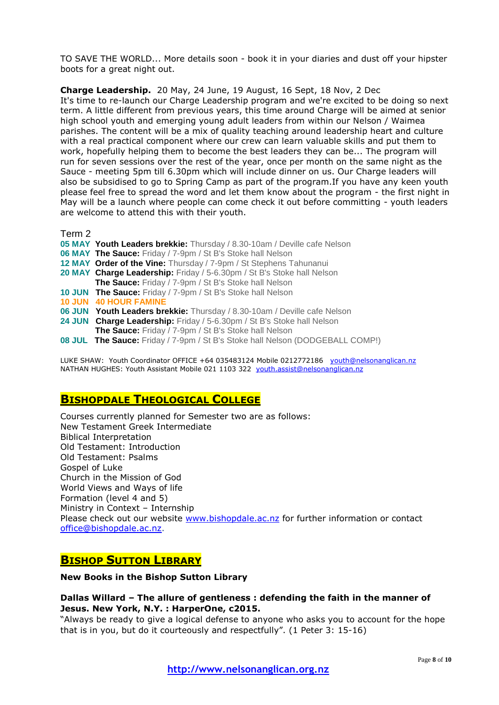TO SAVE THE WORLD... More details soon - book it in your diaries and dust off your hipster boots for a great night out.

**Charge Leadership.** 20 May, 24 June, 19 August, 16 Sept, 18 Nov, 2 Dec It's time to re-launch our Charge Leadership program and we're excited to be doing so next term. A little different from previous years, this time around Charge will be aimed at senior high school youth and emerging young adult leaders from within our Nelson / Waimea parishes. The content will be a mix of quality teaching around leadership heart and culture with a real practical component where our crew can learn valuable skills and put them to work, hopefully helping them to become the best leaders they can be... The program will run for seven sessions over the rest of the year, once per month on the same night as the Sauce - meeting 5pm till 6.30pm which will include dinner on us. Our Charge leaders will also be subsidised to go to Spring Camp as part of the program.If you have any keen youth please feel free to spread the word and let them know about the program - the first night in May will be a launch where people can come check it out before committing - youth leaders are welcome to attend this with their youth.

Term 2

- **05 MAY Youth Leaders brekkie:** Thursday / 8.30-10am / Deville cafe Nelson
- **06 MAY The Sauce:** Friday / 7-9pm / St B's Stoke hall Nelson
- 12 MAY Order of the Vine: Thursday / 7-9pm / St Stephens Tahunanui
- **20 MAY Charge Leadership:** Friday / 5-6.30pm / St B's Stoke hall Nelson
- **The Sauce:** Friday / 7-9pm / St B's Stoke hall Nelson
- **10 JUN The Sauce:** Friday / 7-9pm / St B's Stoke hall Nelson
- **10 JUN 40 HOUR FAMINE**
- **06 JUN Youth Leaders brekkie:** Thursday / 8.30-10am / Deville cafe Nelson
- **24 JUN Charge Leadership:** Friday / 5-6.30pm / St B's Stoke hall Nelson
	- **The Sauce:** Friday / 7-9pm / St B's Stoke hall Nelson
- **08 JUL The Sauce:** Friday / 7-9pm / St B's Stoke hall Nelson (DODGEBALL COMP!)

LUKE SHAW: Youth Coordinator OFFICE +64 035483124 Mobile 0212772186 [youth@nelsonanglican.nz](mailto:youth@nelsonanglican.nz) NATHAN HUGHES: Youth Assistant Mobile 021 1103 322 [youth.assist@nelsonanglican.nz](mailto:youth.assist@nelsonanglican.nz)

### **BISHOPDALE THEOLOGICAL COLLEGE**

Courses currently planned for Semester two are as follows: New Testament Greek Intermediate Biblical Interpretation Old Testament: Introduction Old Testament: Psalms Gospel of Luke Church in the Mission of God World Views and Ways of life Formation (level 4 and 5) Ministry in Context – Internship Please check out our website [www.bishopdale.ac.nz](http://www.bishopdale.ac.nz/) for further information or contact [office@bishopdale.ac.nz.](mailto:office@bishopdale.ac.nz)

## **BISHOP SUTTON LIBRARY**

### **New Books in the Bishop Sutton Library**

### **Dallas Willard – The allure of gentleness : defending the faith in the manner of Jesus. New York, N.Y. : HarperOne, c2015.**

"Always be ready to give a logical defense to anyone who asks you to account for the hope that is in you, but do it courteously and respectfully". (1 Peter 3: 15-16)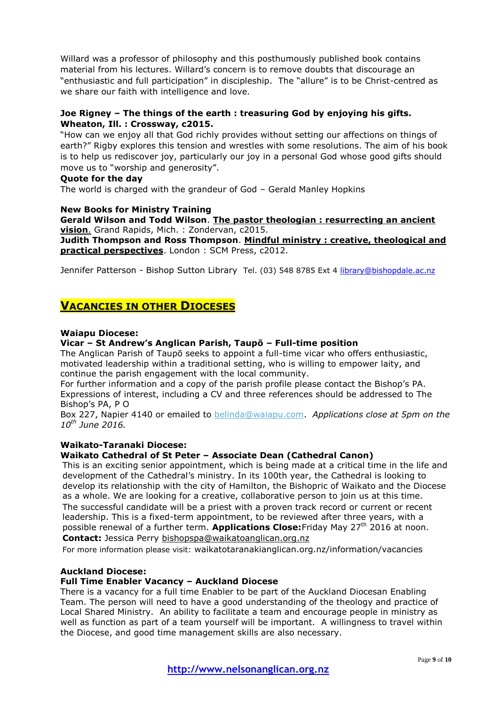Willard was a professor of philosophy and this posthumously published book contains material from his lectures. Willard's concern is to remove doubts that discourage an "enthusiastic and full participation" in discipleship. The "allure" is to be Christ-centred as we share our faith with intelligence and love.

### **Joe Rigney – The things of the earth : treasuring God by enjoying his gifts. Wheaton, Ill. : Crossway, c2015.**

"How can we enjoy all that God richly provides without setting our affections on things of earth?" Rigby explores this tension and wrestles with some resolutions. The aim of his book is to help us rediscover joy, particularly our joy in a personal God whose good gifts should move us to "worship and generosity".

### **Quote for the day**

The world is charged with the grandeur of God – Gerald Manley Hopkins

### **New Books for Ministry Training**

**Gerald Wilson and Todd Wilson**. **The pastor theologian : resurrecting an ancient vision**. Grand Rapids, Mich. : Zondervan, c2015.

**Judith Thompson and Ross Thompson**. **Mindful ministry : creative, theological and practical perspectives**. London : SCM Press, c2012.

Jennifer Patterson - Bishop Sutton Library Tel. (03) 548 8785 Ext 4 [library@bishopdale.ac.nz](mailto:library@bishopdale.ac.nz)

## **VACANCIES IN OTHER DIOCESES**

#### **Waiapu Diocese:**

### **Vicar – St Andrew's Anglican Parish, Taupō – Full-time position**

The Anglican Parish of Taupō seeks to appoint a full-time vicar who offers enthusiastic, motivated leadership within a traditional setting, who is willing to empower laity, and continue the parish engagement with the local community.

For further information and a copy of the parish profile please contact the Bishop's PA. Expressions of interest, including a CV and three references should be addressed to The Bishop's PA, P O

Box 227, Napier 4140 or emailed to [belinda@waiapu.com.](mailto:belinda@waiapu.com) *Applications close at 5pm on the 10th June 2016.*

### **Waikato-Taranaki Diocese:**

#### **Waikato Cathedral of St Peter – Associate Dean (Cathedral Canon)**

This is an exciting senior appointment, which is being made at a critical time in the life and development of the Cathedral's ministry. In its 100th year, the Cathedral is looking to develop its relationship with the city of Hamilton, the Bishopric of Waikato and the Diocese as a whole. We are looking for a creative, collaborative person to join us at this time. The successful candidate will be a priest with a proven track record or current or recent leadership. This is a fixed-term appointment, to be reviewed after three years, with a possible renewal of a further term. **Applications Close:**Friday May 27th 2016 at noon. **Contact:** Jessica Perry bishopspa@waikatoanglican.org.nz

For more information please visit: waikatotaranakianglican.org.nz/information/vacancies

### **Auckland Diocese:**

#### **Full Time Enabler Vacancy – Auckland Diocese**

There is a vacancy for a full time Enabler to be part of the Auckland Diocesan Enabling Team. The person will need to have a good understanding of the theology and practice of Local Shared Ministry. An ability to facilitate a team and encourage people in ministry as well as function as part of a team yourself will be important. A willingness to travel within the Diocese, and good time management skills are also necessary.